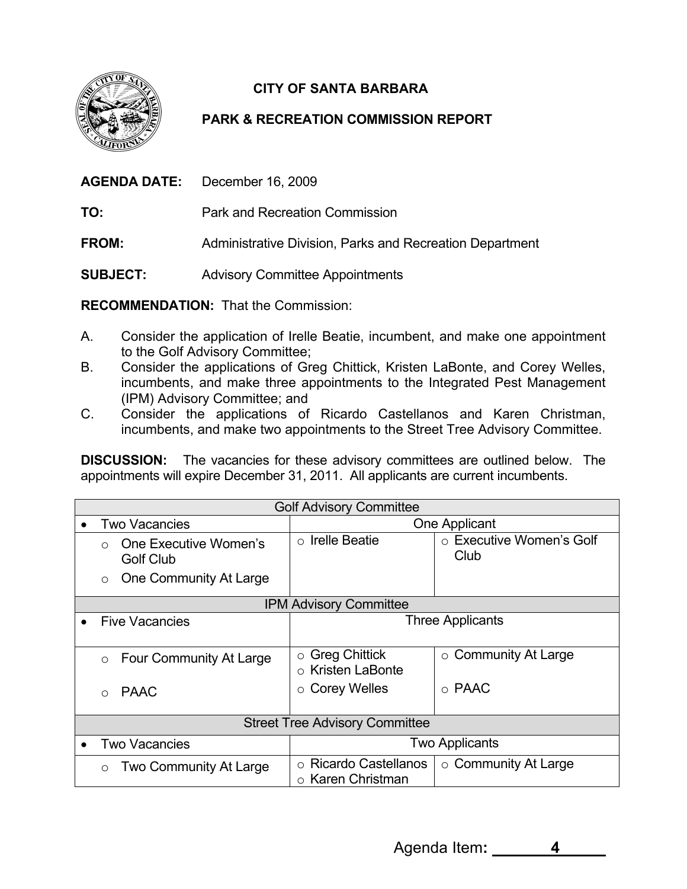

## **CITY OF SANTA BARBARA**

## **PARK & RECREATION COMMISSION REPORT**

| <b>AGENDA DATE:</b><br>December 16, 2009 |
|------------------------------------------|
|------------------------------------------|

**TO:** Park and Recreation Commission

**FROM:** Administrative Division, Parks and Recreation Department

**SUBJECT:** Advisory Committee Appointments

**RECOMMENDATION:** That the Commission:

- A. Consider the application of Irelle Beatie, incumbent, and make one appointment to the Golf Advisory Committee;
- B. Consider the applications of Greg Chittick, Kristen LaBonte, and Corey Welles, incumbents, and make three appointments to the Integrated Pest Management (IPM) Advisory Committee; and
- C. Consider the applications of Ricardo Castellanos and Karen Christman, incumbents, and make two appointments to the Street Tree Advisory Committee.

**DISCUSSION:** The vacancies for these advisory committees are outlined below. The appointments will expire December 31, 2011. All applicants are current incumbents.

| <b>Golf Advisory Committee</b>        |                                           |                                                                     |                                  |  |
|---------------------------------------|-------------------------------------------|---------------------------------------------------------------------|----------------------------------|--|
| $\bullet$                             | <b>Two Vacancies</b>                      | One Applicant                                                       |                                  |  |
|                                       | One Executive Women's<br><b>Golf Club</b> | <b>Irelle Beatie</b><br>$\circ$                                     | ○ Executive Women's Golf<br>Club |  |
|                                       | One Community At Large<br>$\circ$         |                                                                     |                                  |  |
| <b>IPM Advisory Committee</b>         |                                           |                                                                     |                                  |  |
|                                       | <b>Five Vacancies</b>                     | Three Applicants                                                    |                                  |  |
|                                       |                                           |                                                                     |                                  |  |
|                                       | Four Community At Large<br>$\circ$        | <b>Greg Chittick</b><br>$\circ$<br><b>Kristen LaBonte</b><br>$\cap$ | $\circ$ Community At Large       |  |
|                                       | <b>PAAC</b><br>$\bigcap$                  | <b>Corey Welles</b><br>$\circ$                                      | $\circ$ PAAC                     |  |
|                                       |                                           |                                                                     |                                  |  |
| <b>Street Tree Advisory Committee</b> |                                           |                                                                     |                                  |  |
| $\bullet$                             | <b>Two Vacancies</b>                      | <b>Two Applicants</b>                                               |                                  |  |
|                                       | <b>Two Community At Large</b><br>$\circ$  | <b>Ricardo Castellanos</b><br>$\circ$<br>$\circ$ Karen Christman    | $\circ$ Community At Large       |  |